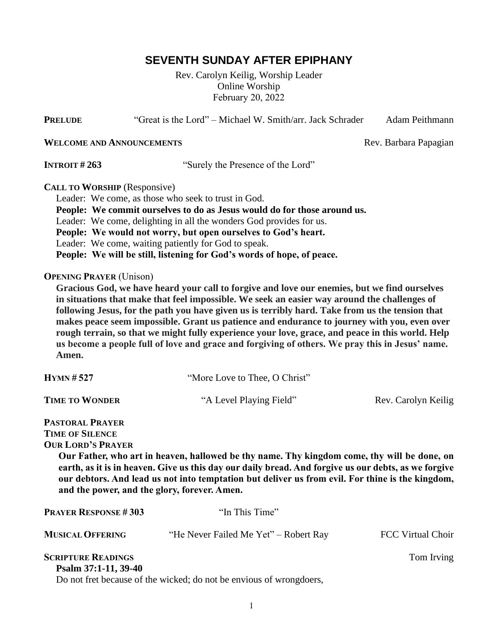# **SEVENTH SUNDAY AFTER EPIPHANY**

Rev. Carolyn Keilig, Worship Leader Online Worship February 20, 2022

**PRELUDE** "Great is the Lord" – Michael W. Smith/arr. Jack Schrader Adam Peithmann

**WELCOME AND ANNOUNCEMENTS** Rev. Barbara Papagian

**INTROIT** #263 "Surely the Presence of the Lord"

**CALL TO WORSHIP** (Responsive)

Leader: We come, as those who seek to trust in God.

 **People: We commit ourselves to do as Jesus would do for those around us.**

Leader: We come, delighting in all the wonders God provides for us.

 **People: We would not worry, but open ourselves to God's heart.**

Leader: We come, waiting patiently for God to speak.

 **People: We will be still, listening for God's words of hope, of peace.**

#### **OPENING PRAYER** (Unison)

 **Gracious God, we have heard your call to forgive and love our enemies, but we find ourselves in situations that make that feel impossible. We seek an easier way around the challenges of following Jesus, for the path you have given us is terribly hard. Take from us the tension that makes peace seem impossible. Grant us patience and endurance to journey with you, even over rough terrain, so that we might fully experience your love, grace, and peace in this world. Help us become a people full of love and grace and forgiving of others. We pray this in Jesus' name. Amen.**

| $HYMN \# 527$                                                                                                                                                                                                                                                                                                                                                                                                                           | "More Love to Thee, O Christ"                                       |                          |  |  |
|-----------------------------------------------------------------------------------------------------------------------------------------------------------------------------------------------------------------------------------------------------------------------------------------------------------------------------------------------------------------------------------------------------------------------------------------|---------------------------------------------------------------------|--------------------------|--|--|
| <b>TIME TO WONDER</b>                                                                                                                                                                                                                                                                                                                                                                                                                   | "A Level Playing Field"                                             | Rev. Carolyn Keilig      |  |  |
| <b>PASTORAL PRAYER</b><br><b>TIME OF SILENCE</b><br><b>OUR LORD'S PRAYER</b><br>Our Father, who art in heaven, hallowed be thy name. Thy kingdom come, thy will be done, on<br>earth, as it is in heaven. Give us this day our daily bread. And forgive us our debts, as we forgive<br>our debtors. And lead us not into temptation but deliver us from evil. For thine is the kingdom,<br>and the power, and the glory, forever. Amen. |                                                                     |                          |  |  |
| <b>PRAYER RESPONSE #303</b>                                                                                                                                                                                                                                                                                                                                                                                                             | "In This Time"                                                      |                          |  |  |
| <b>MUSICAL OFFERING</b>                                                                                                                                                                                                                                                                                                                                                                                                                 | "He Never Failed Me Yet" – Robert Ray                               | <b>FCC Virtual Choir</b> |  |  |
| <b>SCRIPTURE READINGS</b><br>Psalm 37:1-11, 39-40                                                                                                                                                                                                                                                                                                                                                                                       | Do not fret because of the wicked; do not be envious of wrongdoers, | Tom Irving               |  |  |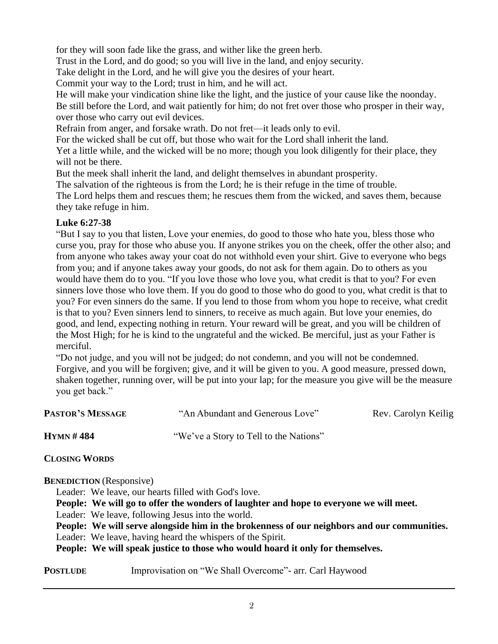for they will soon fade like the grass, and wither like the green herb.

Trust in the Lord, and do good; so you will live in the land, and enjoy security.

Take delight in the Lord, and he will give you the desires of your heart.

Commit your way to the Lord; trust in him, and he will act.

 He will make your vindication shine like the light, and the justice of your cause like the noonday. Be still before the Lord, and wait patiently for him; do not fret over those who prosper in their way, over those who carry out evil devices.

Refrain from anger, and forsake wrath. Do not fret—it leads only to evil.

For the wicked shall be cut off, but those who wait for the Lord shall inherit the land.

 Yet a little while, and the wicked will be no more; though you look diligently for their place, they will not be there.

But the meek shall inherit the land, and delight themselves in abundant prosperity.

The salvation of the righteous is from the Lord; he is their refuge in the time of trouble.

 The Lord helps them and rescues them; he rescues them from the wicked, and saves them, because they take refuge in him.

### **Luke 6:27-38**

 "But I say to you that listen, Love your enemies, do good to those who hate you, bless those who curse you, pray for those who abuse you. If anyone strikes you on the cheek, offer the other also; and from anyone who takes away your coat do not withhold even your shirt. Give to everyone who begs from you; and if anyone takes away your goods, do not ask for them again. Do to others as you would have them do to you. "If you love those who love you, what credit is that to you? For even sinners love those who love them. If you do good to those who do good to you, what credit is that to you? For even sinners do the same. If you lend to those from whom you hope to receive, what credit is that to you? Even sinners lend to sinners, to receive as much again. But love your enemies, do good, and lend, expecting nothing in return. Your reward will be great, and you will be children of the Most High; for he is kind to the ungrateful and the wicked. Be merciful, just as your Father is merciful.

 "Do not judge, and you will not be judged; do not condemn, and you will not be condemned. Forgive, and you will be forgiven; give, and it will be given to you. A good measure, pressed down, shaken together, running over, will be put into your lap; for the measure you give will be the measure you get back."

| <b>PASTOR'S MESSAGE</b> | "An Abundant and Generous Love"        | Rev. Carolyn Keilig |
|-------------------------|----------------------------------------|---------------------|
| <b>HYMN#484</b>         | "We've a Story to Tell to the Nations" |                     |

**CLOSING WORDS**

**BENEDICTION** (Responsive)

Leader: We leave, our hearts filled with God's love.

 **People: We will go to offer the wonders of laughter and hope to everyone we will meet.**

Leader: We leave, following Jesus into the world.

 **People: We will serve alongside him in the brokenness of our neighbors and our communities.**

Leader: We leave, having heard the whispers of the Spirit.

 **People: We will speak justice to those who would hoard it only for themselves.**

**POSTLUDE** Improvisation on "We Shall Overcome"- arr. Carl Haywood